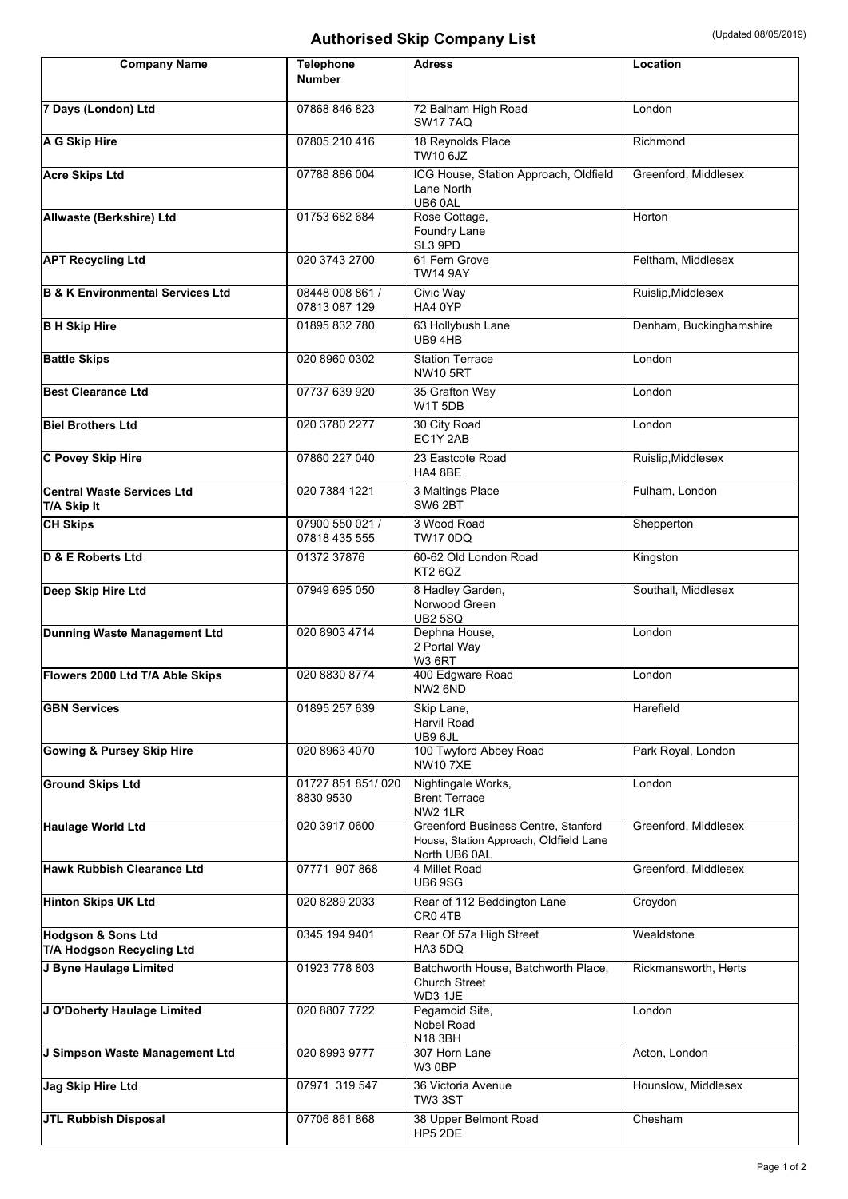## Authorised Skip Company List **Authorised Skip Company List** (Updated 08/05/2019)

| <b>Company Name</b>                                        | <b>Telephone</b><br><b>Number</b> | <b>Adress</b>                                                                                  | Location                |
|------------------------------------------------------------|-----------------------------------|------------------------------------------------------------------------------------------------|-------------------------|
| 7 Days (London) Ltd                                        | 07868 846 823                     | 72 Balham High Road<br><b>SW17 7AQ</b>                                                         | London                  |
| A G Skip Hire                                              | 07805 210 416                     | 18 Reynolds Place<br><b>TW10 6JZ</b>                                                           | Richmond                |
| <b>Acre Skips Ltd</b>                                      | 07788 886 004                     | ICG House, Station Approach, Oldfield<br>Lane North<br>UB6 0AL                                 | Greenford, Middlesex    |
| Allwaste (Berkshire) Ltd                                   | 01753 682 684                     | Rose Cottage,<br>Foundry Lane<br>SL3 9PD                                                       | Horton                  |
| <b>APT Recycling Ltd</b>                                   | 020 3743 2700                     | 61 Fern Grove<br><b>TW14 9AY</b>                                                               | Feltham, Middlesex      |
| <b>B &amp; K Environmental Services Ltd</b>                | 08448 008 861 /<br>07813 087 129  | Civic Way<br>HA4 0YP                                                                           | Ruislip, Middlesex      |
| <b>B H Skip Hire</b>                                       | 01895 832 780                     | 63 Hollybush Lane<br>UB94HB                                                                    | Denham, Buckinghamshire |
| <b>Battle Skips</b>                                        | 020 8960 0302                     | <b>Station Terrace</b><br><b>NW10 5RT</b>                                                      | London                  |
| <b>Best Clearance Ltd</b>                                  | 07737 639 920                     | 35 Grafton Way<br>W1T <sub>5DB</sub>                                                           | London                  |
| <b>Biel Brothers Ltd</b>                                   | 020 3780 2277                     | 30 City Road<br>EC1Y 2AB                                                                       | London                  |
| <b>C Povey Skip Hire</b>                                   | 07860 227 040                     | 23 Eastcote Road<br>HA4 8BE                                                                    | Ruislip, Middlesex      |
| <b>Central Waste Services Ltd</b><br>T/A Skip It           | 020 7384 1221                     | 3 Maltings Place<br><b>SW6 2BT</b>                                                             | Fulham, London          |
| <b>CH Skips</b>                                            | 07900 550 021 /<br>07818 435 555  | 3 Wood Road<br><b>TW17 0DQ</b>                                                                 | Shepperton              |
| D & E Roberts Ltd                                          | 01372 37876                       | 60-62 Old London Road<br>KT2 6QZ                                                               | Kingston                |
| Deep Skip Hire Ltd                                         | 07949 695 050                     | 8 Hadley Garden,<br>Norwood Green<br><b>UB2 5SQ</b>                                            | Southall, Middlesex     |
| <b>Dunning Waste Management Ltd</b>                        | 020 8903 4714                     | Dephna House,<br>2 Portal Way<br>W3 6RT                                                        | London                  |
| Flowers 2000 Ltd T/A Able Skips                            | 020 8830 8774                     | 400 Edgware Road<br>NW2 6ND                                                                    | London                  |
| <b>GBN Services</b>                                        | 01895 257 639                     | Skip Lane,<br>Harvil Road<br>UB9 6JL                                                           | Harefield               |
| <b>Gowing &amp; Pursey Skip Hire</b>                       | 020 8963 4070                     | 100 Twyford Abbey Road<br><b>NW107XE</b>                                                       | Park Royal, London      |
| <b>Ground Skips Ltd</b>                                    | 01727 851 851/020<br>8830 9530    | Nightingale Works,<br><b>Brent Terrace</b><br>NW2 1LR                                          | London                  |
| <b>Haulage World Ltd</b>                                   | 020 3917 0600                     | Greenford Business Centre, Stanford<br>House, Station Approach, Oldfield Lane<br>North UB6 0AL | Greenford, Middlesex    |
| Hawk Rubbish Clearance Ltd                                 | 07771 907 868                     | 4 Millet Road<br><b>UB6 9SG</b>                                                                | Greenford, Middlesex    |
| <b>Hinton Skips UK Ltd</b>                                 | 020 8289 2033                     | Rear of 112 Beddington Lane<br>CR0 4TB                                                         | Croydon                 |
| <b>Hodgson &amp; Sons Ltd</b><br>T/A Hodgson Recycling Ltd | 0345 194 9401                     | Rear Of 57a High Street<br>HA3 5DQ                                                             | Wealdstone              |
| J Byne Haulage Limited                                     | 01923 778 803                     | Batchworth House, Batchworth Place,<br>Church Street<br>WD3 1JE                                | Rickmansworth, Herts    |
| J O'Doherty Haulage Limited                                | 020 8807 7722                     | Pegamoid Site,<br>Nobel Road<br>N18 3BH                                                        | London                  |
| J Simpson Waste Management Ltd                             | 020 8993 9777                     | 307 Horn Lane<br>W3 0BP                                                                        | Acton, London           |
| Jag Skip Hire Ltd                                          | 07971 319 547                     | 36 Victoria Avenue<br><b>TW3 3ST</b>                                                           | Hounslow, Middlesex     |
| <b>JTL Rubbish Disposal</b>                                | 07706 861 868                     | 38 Upper Belmont Road<br>HP5 2DE                                                               | Chesham                 |